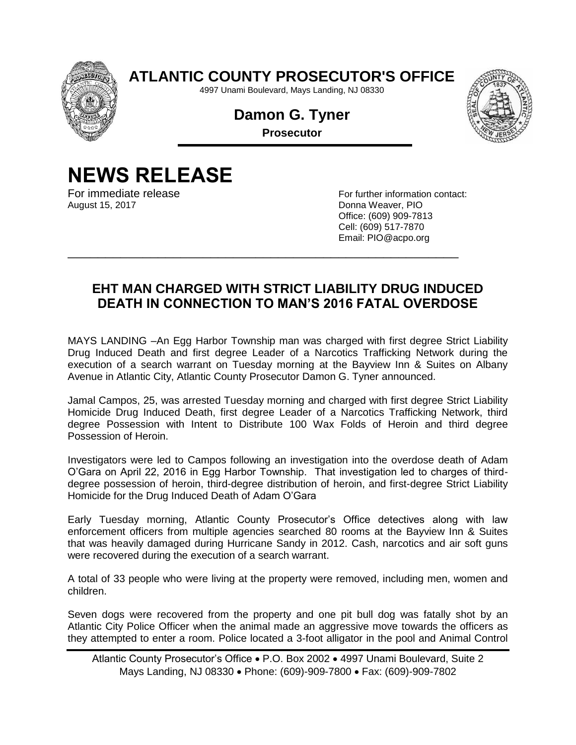

**ATLANTIC COUNTY PROSECUTOR'S OFFICE**

4997 Unami Boulevard, Mays Landing, NJ 08330

**Damon G. Tyner Prosecutor**



## **NEWS RELEASE**

August 15, 2017 **Donna Weaver, PIO** 

For immediate release For information contact: Office: (609) 909-7813 Cell: (609) 517-7870 Email: PIO@acpo.org

## **EHT MAN CHARGED WITH STRICT LIABILITY DRUG INDUCED DEATH IN CONNECTION TO MAN'S 2016 FATAL OVERDOSE**

\_\_\_\_\_\_\_\_\_\_\_\_\_\_\_\_\_\_\_\_\_\_\_\_\_\_\_\_\_\_\_\_\_\_\_\_\_\_\_\_\_\_\_\_\_\_\_\_\_\_\_\_

MAYS LANDING –An Egg Harbor Township man was charged with first degree Strict Liability Drug Induced Death and first degree Leader of a Narcotics Trafficking Network during the execution of a search warrant on Tuesday morning at the Bayview Inn & Suites on Albany Avenue in Atlantic City, Atlantic County Prosecutor Damon G. Tyner announced.

Jamal Campos, 25, was arrested Tuesday morning and charged with first degree Strict Liability Homicide Drug Induced Death, first degree Leader of a Narcotics Trafficking Network, third degree Possession with Intent to Distribute 100 Wax Folds of Heroin and third degree Possession of Heroin.

Investigators were led to Campos following an investigation into the overdose death of Adam O'Gara on April 22, 2016 in Egg Harbor Township. That investigation led to charges of thirddegree possession of heroin, third-degree distribution of heroin, and first-degree Strict Liability Homicide for the Drug Induced Death of Adam O'Gara

Early Tuesday morning, Atlantic County Prosecutor's Office detectives along with law enforcement officers from multiple agencies searched 80 rooms at the Bayview Inn & Suites that was heavily damaged during Hurricane Sandy in 2012. Cash, narcotics and air soft guns were recovered during the execution of a search warrant.

A total of 33 people who were living at the property were removed, including men, women and children.

Seven dogs were recovered from the property and one pit bull dog was fatally shot by an Atlantic City Police Officer when the animal made an aggressive move towards the officers as they attempted to enter a room. Police located a 3-foot alligator in the pool and Animal Control

Atlantic County Prosecutor's Office P.O. Box 2002 4997 Unami Boulevard, Suite 2 Mays Landing, NJ 08330 Phone: (609)-909-7800 Fax: (609)-909-7802